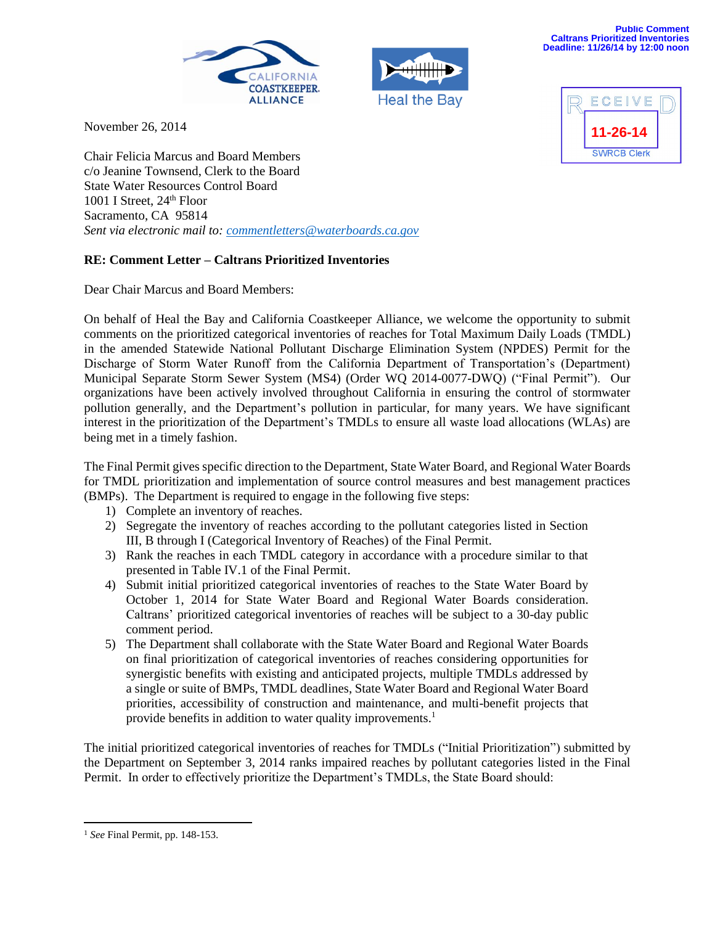



**Public Comment Caltrans Prioritized Inventories Deadline: 11/26/14 by 12:00 noon**

> ECEIV **11-26-14SWRCB Clerk**

November 26, 2014

Chair Felicia Marcus and Board Members c/o Jeanine Townsend, Clerk to the Board State Water Resources Control Board 1001 I Street,  $24<sup>th</sup>$  Floor Sacramento, CA 95814 *Sent via electronic mail to: [commentletters@waterboards.ca.gov](mailto:commentletters@waterboards.ca.gov)*

## **RE: Comment Letter – Caltrans Prioritized Inventories**

Dear Chair Marcus and Board Members:

On behalf of Heal the Bay and California Coastkeeper Alliance, we welcome the opportunity to submit comments on the prioritized categorical inventories of reaches for Total Maximum Daily Loads (TMDL) in the amended Statewide National Pollutant Discharge Elimination System (NPDES) Permit for the Discharge of Storm Water Runoff from the California Department of Transportation's (Department) Municipal Separate Storm Sewer System (MS4) (Order WQ 2014-0077-DWQ) ("Final Permit"). Our organizations have been actively involved throughout California in ensuring the control of stormwater pollution generally, and the Department's pollution in particular, for many years. We have significant interest in the prioritization of the Department's TMDLs to ensure all waste load allocations (WLAs) are being met in a timely fashion.

The Final Permit gives specific direction to the Department, State Water Board, and Regional Water Boards for TMDL prioritization and implementation of source control measures and best management practices (BMPs). The Department is required to engage in the following five steps:

- 1) Complete an inventory of reaches.
- 2) Segregate the inventory of reaches according to the pollutant categories listed in Section III, B through I (Categorical Inventory of Reaches) of the Final Permit.
- 3) Rank the reaches in each TMDL category in accordance with a procedure similar to that presented in Table IV.1 of the Final Permit.
- 4) Submit initial prioritized categorical inventories of reaches to the State Water Board by October 1, 2014 for State Water Board and Regional Water Boards consideration. Caltrans' prioritized categorical inventories of reaches will be subject to a 30-day public comment period.
- 5) The Department shall collaborate with the State Water Board and Regional Water Boards on final prioritization of categorical inventories of reaches considering opportunities for synergistic benefits with existing and anticipated projects, multiple TMDLs addressed by a single or suite of BMPs, TMDL deadlines, State Water Board and Regional Water Board priorities, accessibility of construction and maintenance, and multi-benefit projects that provide benefits in addition to water quality improvements.<sup>1</sup>

The initial prioritized categorical inventories of reaches for TMDLs ("Initial Prioritization") submitted by the Department on September 3, 2014 ranks impaired reaches by pollutant categories listed in the Final Permit. In order to effectively prioritize the Department's TMDLs, the State Board should:

 $\overline{\phantom{a}}$ <sup>1</sup> *See* Final Permit, pp. 148-153.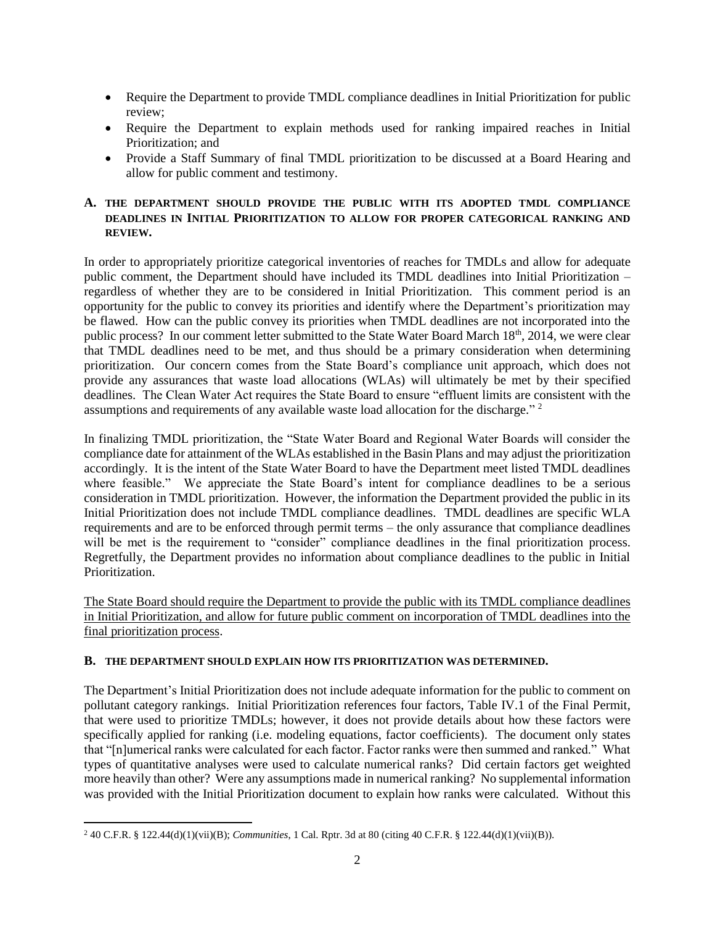- Require the Department to provide TMDL compliance deadlines in Initial Prioritization for public review;
- Require the Department to explain methods used for ranking impaired reaches in Initial Prioritization; and
- Provide a Staff Summary of final TMDL prioritization to be discussed at a Board Hearing and allow for public comment and testimony.

## **A. THE DEPARTMENT SHOULD PROVIDE THE PUBLIC WITH ITS ADOPTED TMDL COMPLIANCE DEADLINES IN INITIAL PRIORITIZATION TO ALLOW FOR PROPER CATEGORICAL RANKING AND REVIEW.**

In order to appropriately prioritize categorical inventories of reaches for TMDLs and allow for adequate public comment, the Department should have included its TMDL deadlines into Initial Prioritization – regardless of whether they are to be considered in Initial Prioritization. This comment period is an opportunity for the public to convey its priorities and identify where the Department's prioritization may be flawed. How can the public convey its priorities when TMDL deadlines are not incorporated into the public process? In our comment letter submitted to the State Water Board March 18th, 2014, we were clear that TMDL deadlines need to be met, and thus should be a primary consideration when determining prioritization. Our concern comes from the State Board's compliance unit approach, which does not provide any assurances that waste load allocations (WLAs) will ultimately be met by their specified deadlines. The Clean Water Act requires the State Board to ensure "effluent limits are consistent with the assumptions and requirements of any available waste load allocation for the discharge."<sup>2</sup>

In finalizing TMDL prioritization, the "State Water Board and Regional Water Boards will consider the compliance date for attainment of the WLAs established in the Basin Plans and may adjust the prioritization accordingly. It is the intent of the State Water Board to have the Department meet listed TMDL deadlines where feasible." We appreciate the State Board's intent for compliance deadlines to be a serious consideration in TMDL prioritization. However, the information the Department provided the public in its Initial Prioritization does not include TMDL compliance deadlines. TMDL deadlines are specific WLA requirements and are to be enforced through permit terms – the only assurance that compliance deadlines will be met is the requirement to "consider" compliance deadlines in the final prioritization process. Regretfully, the Department provides no information about compliance deadlines to the public in Initial Prioritization.

The State Board should require the Department to provide the public with its TMDL compliance deadlines in Initial Prioritization, and allow for future public comment on incorporation of TMDL deadlines into the final prioritization process.

## **B. THE DEPARTMENT SHOULD EXPLAIN HOW ITS PRIORITIZATION WAS DETERMINED.**

The Department's Initial Prioritization does not include adequate information for the public to comment on pollutant category rankings. Initial Prioritization references four factors, Table IV.1 of the Final Permit, that were used to prioritize TMDLs; however, it does not provide details about how these factors were specifically applied for ranking (i.e. modeling equations, factor coefficients). The document only states that "[n]umerical ranks were calculated for each factor. Factor ranks were then summed and ranked." What types of quantitative analyses were used to calculate numerical ranks? Did certain factors get weighted more heavily than other? Were any assumptions made in numerical ranking? No supplemental information was provided with the Initial Prioritization document to explain how ranks were calculated. Without this

 $\overline{\phantom{a}}$ <sup>2</sup> 40 C.F.R. § 122.44(d)(1)(vii)(B); *Communities*, 1 Cal. Rptr. 3d at 80 (citing 40 C.F.R. § 122.44(d)(1)(vii)(B)).